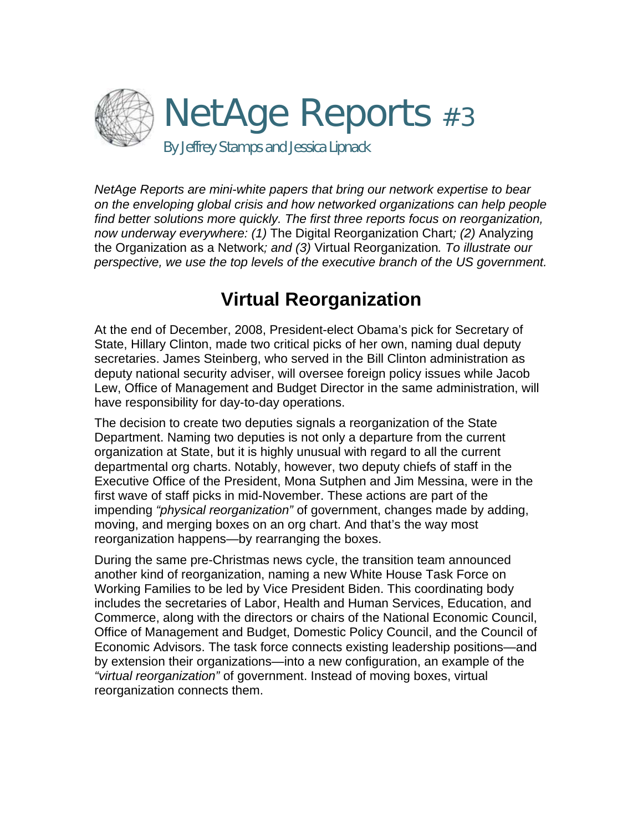

*NetAge Reports are mini-white papers that bring our network expertise to bear on the enveloping global crisis and how networked organizations can help people find better solutions more quickly. The first three reports focus on reorganization, now underway everywhere: (1)* The Digital Reorganization Chart*; (2)* Analyzing the Organization as a Network*; and (3)* Virtual Reorganization*. To illustrate our perspective, we use the top levels of the executive branch of the US government.* 

# **Virtual Reorganization**

At the end of December, 2008, President-elect Obama's pick for Secretary of State, Hillary Clinton, made two critical picks of her own, naming dual deputy secretaries. James Steinberg, who served in the Bill Clinton administration as deputy national security adviser, will oversee foreign policy issues while Jacob Lew, Office of Management and Budget Director in the same administration, will have responsibility for day-to-day operations.

The decision to create two deputies signals a reorganization of the State Department. Naming two deputies is not only a departure from the current organization at State, but it is highly unusual with regard to all the current departmental org charts. Notably, however, two deputy chiefs of staff in the Executive Office of the President, Mona Sutphen and Jim Messina, were in the first wave of staff picks in mid-November. These actions are part of the impending *"physical reorganization"* of government, changes made by adding, moving, and merging boxes on an org chart. And that's the way most reorganization happens—by rearranging the boxes.

During the same pre-Christmas news cycle, the transition team announced another kind of reorganization, naming a new White House Task Force on Working Families to be led by Vice President Biden. This coordinating body includes the secretaries of Labor, Health and Human Services, Education, and Commerce, along with the directors or chairs of the National Economic Council, Office of Management and Budget, Domestic Policy Council, and the Council of Economic Advisors. The task force connects existing leadership positions—and by extension their organizations—into a new configuration, an example of the *"virtual reorganization"* of government. Instead of moving boxes, virtual reorganization connects them.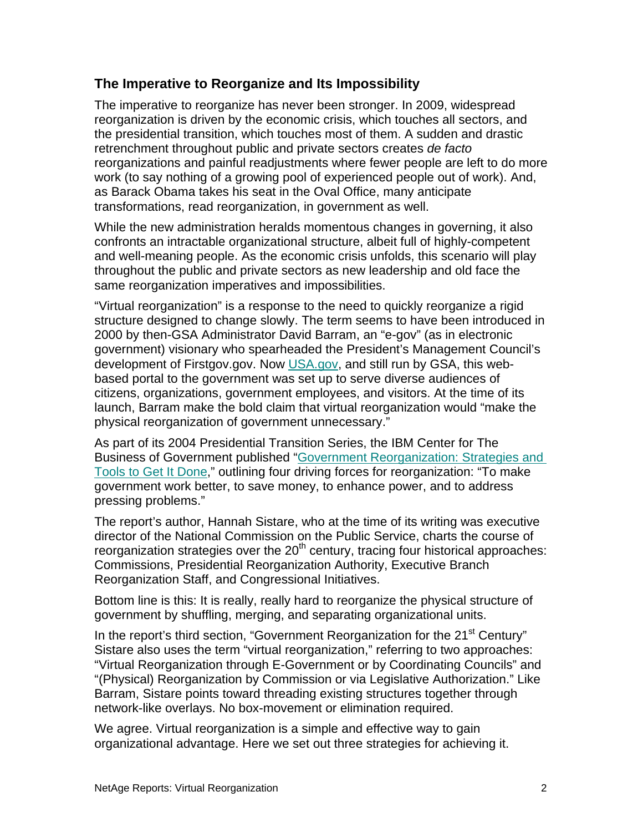## **The Imperative to Reorganize and Its Impossibility**

The imperative to reorganize has never been stronger. In 2009, widespread reorganization is driven by the economic crisis, which touches all sectors, and the presidential transition, which touches most of them. A sudden and drastic retrenchment throughout public and private sectors creates *de facto* reorganizations and painful readjustments where fewer people are left to do more work (to say nothing of a growing pool of experienced people out of work). And, as Barack Obama takes his seat in the Oval Office, many anticipate transformations, read reorganization, in government as well.

While the new administration heralds momentous changes in governing, it also confronts an intractable organizational structure, albeit full of highly-competent and well-meaning people. As the economic crisis unfolds, this scenario will play throughout the public and private sectors as new leadership and old face the same reorganization imperatives and impossibilities.

"Virtual reorganization" is a response to the need to quickly reorganize a rigid structure designed to change slowly. The term seems to have been introduced in 2000 by then-GSA Administrator David Barram, an "e-gov" (as in electronic government) visionary who spearheaded the President's Management Council's development of Firstgov.gov. Now [USA.gov](http://www.usa.gov/), and still run by GSA, this webbased portal to the government was set up to serve diverse audiences of citizens, organizations, government employees, and visitors. At the time of its launch, Barram make the bold claim that virtual reorganization would "make the physical reorganization of government unnecessary."

As part of its 2004 Presidential Transition Series, the IBM Center for The Business of Government published ["Government Reorganization: Strategies and](http://www.businessofgovernment.org/pdfs/SistareReport.pdf)  [Tools to Get It Done](http://www.businessofgovernment.org/pdfs/SistareReport.pdf)," outlining four driving forces for reorganization: "To make government work better, to save money, to enhance power, and to address pressing problems."

The report's author, Hannah Sistare, who at the time of its writing was executive director of the National Commission on the Public Service, charts the course of reorganization strategies over the  $20<sup>th</sup>$  century, tracing four historical approaches: Commissions, Presidential Reorganization Authority, Executive Branch Reorganization Staff, and Congressional Initiatives.

Bottom line is this: It is really, really hard to reorganize the physical structure of government by shuffling, merging, and separating organizational units.

In the report's third section, "Government Reorganization for the  $21<sup>st</sup>$  Century" Sistare also uses the term "virtual reorganization," referring to two approaches: "Virtual Reorganization through E-Government or by Coordinating Councils" and "(Physical) Reorganization by Commission or via Legislative Authorization." Like Barram, Sistare points toward threading existing structures together through network-like overlays. No box-movement or elimination required.

We agree. Virtual reorganization is a simple and effective way to gain organizational advantage. Here we set out three strategies for achieving it.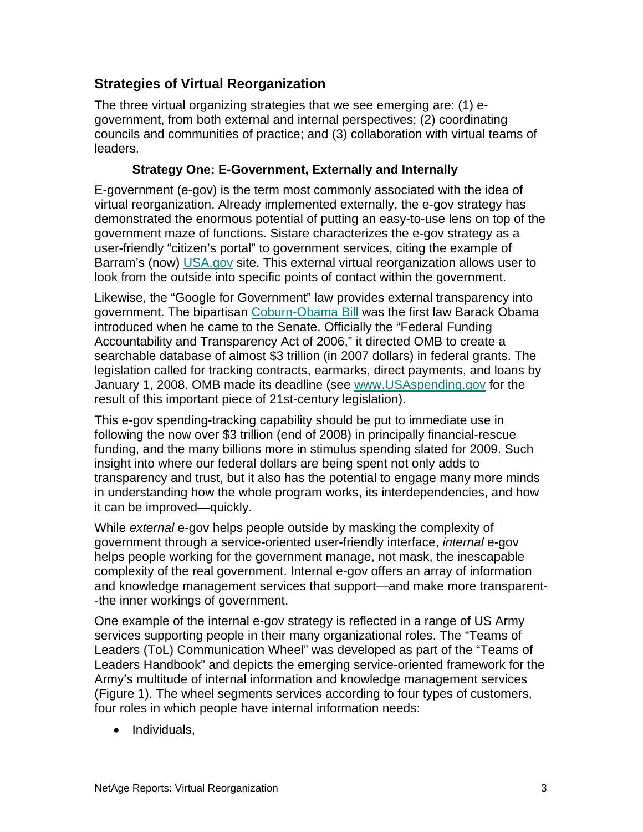# **Strategies of Virtual Reorganization**

The three virtual organizing strategies that we see emerging are: (1) egovernment, from both external and internal perspectives; (2) coordinating councils and communities of practice; and (3) collaboration with virtual teams of leaders.

### **Strategy One: E-Government, Externally and Internally**

E-government (e-gov) is the term most commonly associated with the idea of virtual reorganization. Already implemented externally, the e-gov strategy has demonstrated the enormous potential of putting an easy-to-use lens on top of the government maze of functions. Sistare characterizes the e-gov strategy as a user-friendly "citizen's portal" to government services, citing the example of Barram's (now) [USA.gov](http://www.usa.gov/) site. This external virtual reorganization allows user to look from the outside into specific points of contact within the government.

Likewise, the "Google for Government" law provides external transparency into government. The bipartisan [Coburn-Obama Bill](http://www.netage.com/economics/gov/googleGov.html) was the first law Barack Obama introduced when he came to the Senate. Officially the "Federal Funding Accountability and Transparency Act of 2006," it directed OMB to create a searchable database of almost \$3 trillion (in 2007 dollars) in federal grants. The legislation called for tracking contracts, earmarks, direct payments, and loans by January 1, 2008. OMB made its deadline (see [www.USAspending.gov](http://www.usaspending.gov/) for the result of this important piece of 21st-century legislation).

This e-gov spending-tracking capability should be put to immediate use in following the now over \$3 trillion (end of 2008) in principally financial-rescue funding, and the many billions more in stimulus spending slated for 2009. Such insight into where our federal dollars are being spent not only adds to transparency and trust, but it also has the potential to engage many more minds in understanding how the whole program works, its interdependencies, and how it can be improved—quickly.

While *external* e-gov helps people outside by masking the complexity of government through a service-oriented user-friendly interface, *internal* e-gov helps people working for the government manage, not mask, the inescapable complexity of the real government. Internal e-gov offers an array of information and knowledge management services that support—and make more transparent- -the inner workings of government.

One example of the internal e-gov strategy is reflected in a range of US Army services supporting people in their many organizational roles. The "Teams of Leaders (ToL) Communication Wheel" was developed as part of the "Teams of Leaders Handbook" and depicts the emerging service-oriented framework for the Army's multitude of internal information and knowledge management services (Figure 1). The wheel segments services according to four types of customers, four roles in which people have internal information needs:

• Individuals,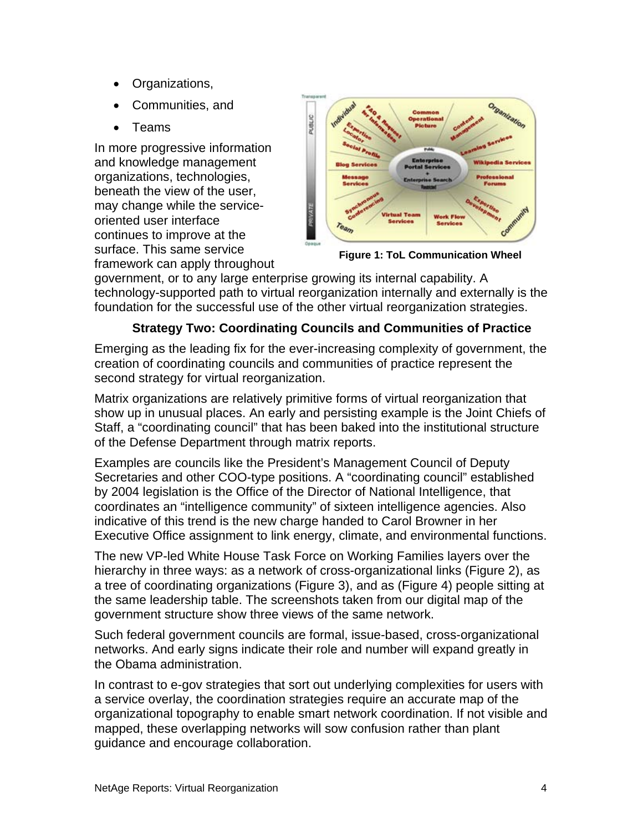- Organizations,
- Communities, and
- Teams

In more progressive information and knowledge management organizations, technologies, beneath the view of the user, may change while the serviceoriented user interface continues to improve at the surface. This same service framework can apply throughout



**Figure 1: ToL Communication Wheel**

government, or to any large enterprise growing its internal capability. A technology-supported path to virtual reorganization internally and externally is the foundation for the successful use of the other virtual reorganization strategies.

## **Strategy Two: Coordinating Councils and Communities of Practice**

Emerging as the leading fix for the ever-increasing complexity of government, the creation of coordinating councils and communities of practice represent the second strategy for virtual reorganization.

Matrix organizations are relatively primitive forms of virtual reorganization that show up in unusual places. An early and persisting example is the Joint Chiefs of Staff, a "coordinating council" that has been baked into the institutional structure of the Defense Department through matrix reports.

Examples are councils like the President's Management Council of Deputy Secretaries and other COO-type positions. A "coordinating council" established by 2004 legislation is the Office of the Director of National Intelligence, that coordinates an "intelligence community" of sixteen intelligence agencies. Also indicative of this trend is the new charge handed to Carol Browner in her Executive Office assignment to link energy, climate, and environmental functions.

The new VP-led White House Task Force on Working Families layers over the hierarchy in three ways: as a network of cross-organizational links (Figure 2), as a tree of coordinating organizations (Figure 3), and as (Figure 4) people sitting at the same leadership table. The screenshots taken from our digital map of the government structure show three views of the same network.

Such federal government councils are formal, issue-based, cross-organizational networks. And early signs indicate their role and number will expand greatly in the Obama administration.

In contrast to e-gov strategies that sort out underlying complexities for users with a service overlay, the coordination strategies require an accurate map of the organizational topography to enable smart network coordination. If not visible and mapped, these overlapping networks will sow confusion rather than plant guidance and encourage collaboration.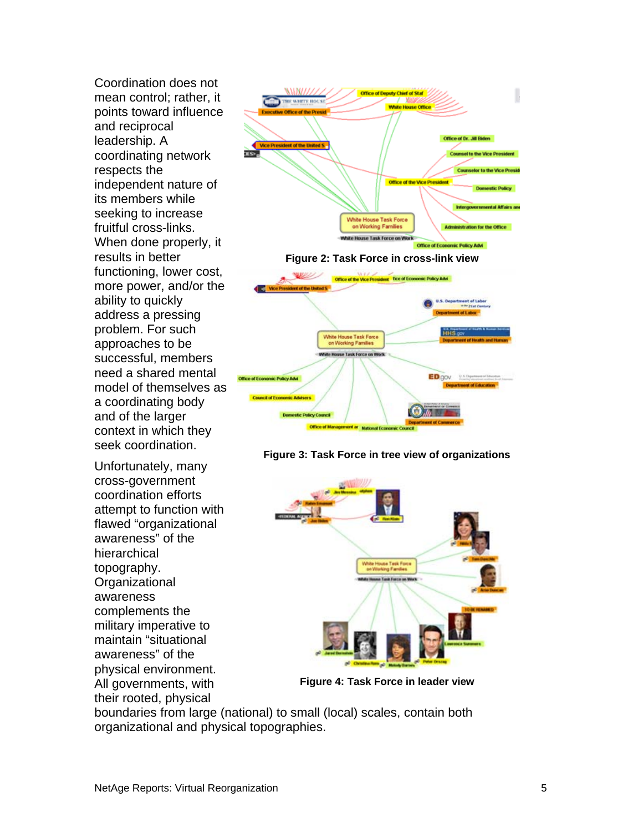Coordination does not mean control; rather, it points toward influence and reciprocal leadership. A coordinating network respects the independent nature of its members while seeking to increase fruitful cross-links. When done properly, it results in better functioning, lower cost, more power, and/or the ability to quickly address a pressing problem. For such approaches to be successful, members need a shared mental model of themselves as a coordinating body and of the larger context in which they seek coordination.

Unfortunately, many cross-government coordination efforts attempt to function with flawed "organizational awareness" of the hierarchical topography. **Organizational** awareness complements the military imperative to maintain "situational awareness" of the physical environment. All governments, with their rooted, physical







**Figure 4: Task Force in leader view** 

boundaries from large (national) to small (local) scales, contain both organizational and physical topographies.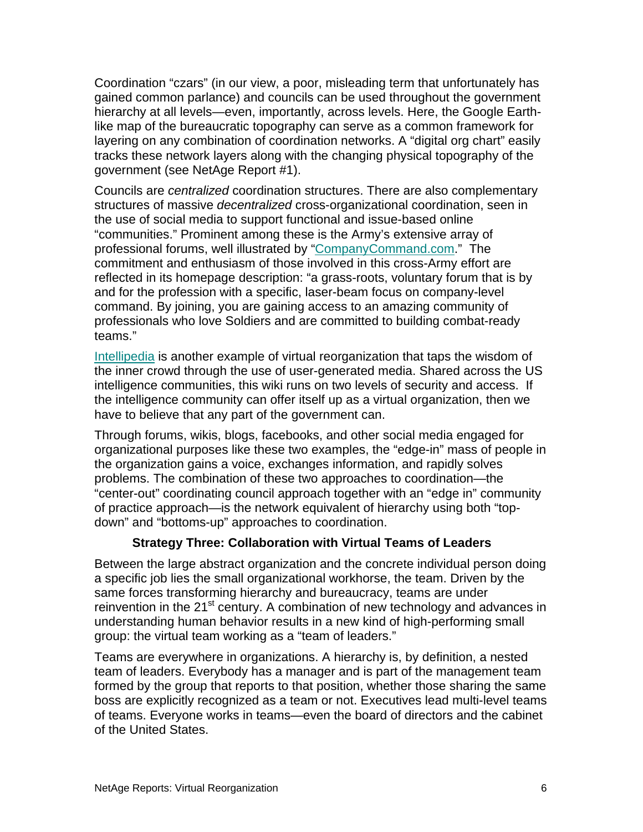Coordination "czars" (in our view, a poor, misleading term that unfortunately has gained common parlance) and councils can be used throughout the government hierarchy at all levels—even, importantly, across levels. Here, the Google Earthlike map of the bureaucratic topography can serve as a common framework for layering on any combination of coordination networks. A "digital org chart" easily tracks these network layers along with the changing physical topography of the government (see NetAge Report #1).

Councils are *centralized* coordination structures. There are also complementary structures of massive *decentralized* cross-organizational coordination, seen in the use of social media to support functional and issue-based online "communities." Prominent among these is the Army's extensive array of professional forums, well illustrated by ["CompanyCommand.com.](http://companycommand.army.mil/)" The commitment and enthusiasm of those involved in this cross-Army effort are reflected in its homepage description: "a grass-roots, voluntary forum that is by and for the profession with a specific, laser-beam focus on company-level command. By joining, you are gaining access to an amazing community of professionals who love Soldiers and are committed to building combat-ready teams."

[Intellipedia](http://en.wikipedia.org/wiki/Intellipedia) is another example of virtual reorganization that taps the wisdom of the inner crowd through the use of user-generated media. Shared across the US intelligence communities, this wiki runs on two levels of security and access. If the intelligence community can offer itself up as a virtual organization, then we have to believe that any part of the government can.

Through forums, wikis, blogs, facebooks, and other social media engaged for organizational purposes like these two examples, the "edge-in" mass of people in the organization gains a voice, exchanges information, and rapidly solves problems. The combination of these two approaches to coordination—the "center-out" coordinating council approach together with an "edge in" community of practice approach—is the network equivalent of hierarchy using both "topdown" and "bottoms-up" approaches to coordination.

#### **Strategy Three: Collaboration with Virtual Teams of Leaders**

Between the large abstract organization and the concrete individual person doing a specific job lies the small organizational workhorse, the team. Driven by the same forces transforming hierarchy and bureaucracy, teams are under reinvention in the 21<sup>st</sup> century. A combination of new technology and advances in understanding human behavior results in a new kind of high-performing small group: the virtual team working as a "team of leaders."

Teams are everywhere in organizations. A hierarchy is, by definition, a nested team of leaders. Everybody has a manager and is part of the management team formed by the group that reports to that position, whether those sharing the same boss are explicitly recognized as a team or not. Executives lead multi-level teams of teams. Everyone works in teams—even the board of directors and the cabinet of the United States.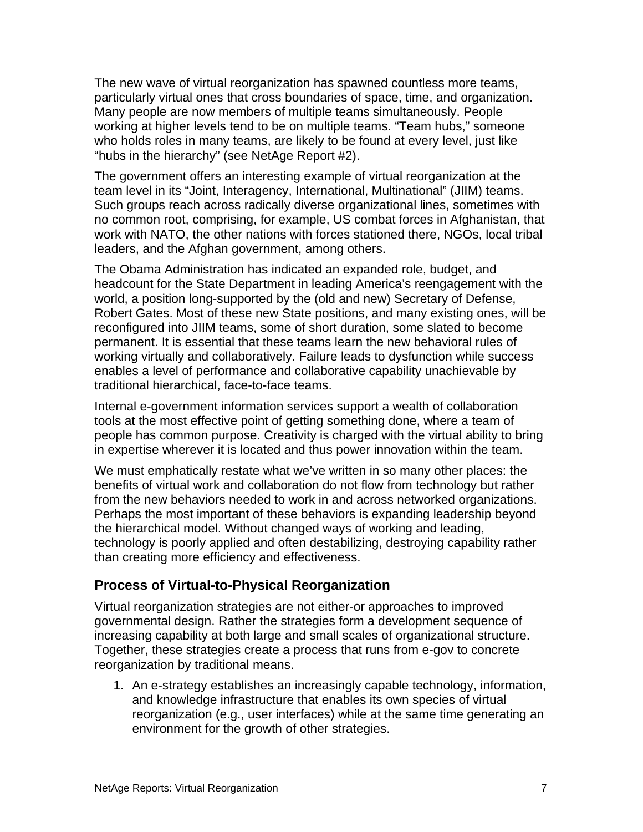The new wave of virtual reorganization has spawned countless more teams, particularly virtual ones that cross boundaries of space, time, and organization. Many people are now members of multiple teams simultaneously. People working at higher levels tend to be on multiple teams. "Team hubs," someone who holds roles in many teams, are likely to be found at every level, just like "hubs in the hierarchy" (see NetAge Report #2).

The government offers an interesting example of virtual reorganization at the team level in its "Joint, Interagency, International, Multinational" (JIIM) teams. Such groups reach across radically diverse organizational lines, sometimes with no common root, comprising, for example, US combat forces in Afghanistan, that work with NATO, the other nations with forces stationed there, NGOs, local tribal leaders, and the Afghan government, among others.

The Obama Administration has indicated an expanded role, budget, and headcount for the State Department in leading America's reengagement with the world, a position long-supported by the (old and new) Secretary of Defense, Robert Gates. Most of these new State positions, and many existing ones, will be reconfigured into JIIM teams, some of short duration, some slated to become permanent. It is essential that these teams learn the new behavioral rules of working virtually and collaboratively. Failure leads to dysfunction while success enables a level of performance and collaborative capability unachievable by traditional hierarchical, face-to-face teams.

Internal e-government information services support a wealth of collaboration tools at the most effective point of getting something done, where a team of people has common purpose. Creativity is charged with the virtual ability to bring in expertise wherever it is located and thus power innovation within the team.

We must emphatically restate what we've written in so many other places: the benefits of virtual work and collaboration do not flow from technology but rather from the new behaviors needed to work in and across networked organizations. Perhaps the most important of these behaviors is expanding leadership beyond the hierarchical model. Without changed ways of working and leading, technology is poorly applied and often destabilizing, destroying capability rather than creating more efficiency and effectiveness.

#### **Process of Virtual-to-Physical Reorganization**

Virtual reorganization strategies are not either-or approaches to improved governmental design. Rather the strategies form a development sequence of increasing capability at both large and small scales of organizational structure. Together, these strategies create a process that runs from e-gov to concrete reorganization by traditional means.

1. An e-strategy establishes an increasingly capable technology, information, and knowledge infrastructure that enables its own species of virtual reorganization (e.g., user interfaces) while at the same time generating an environment for the growth of other strategies.